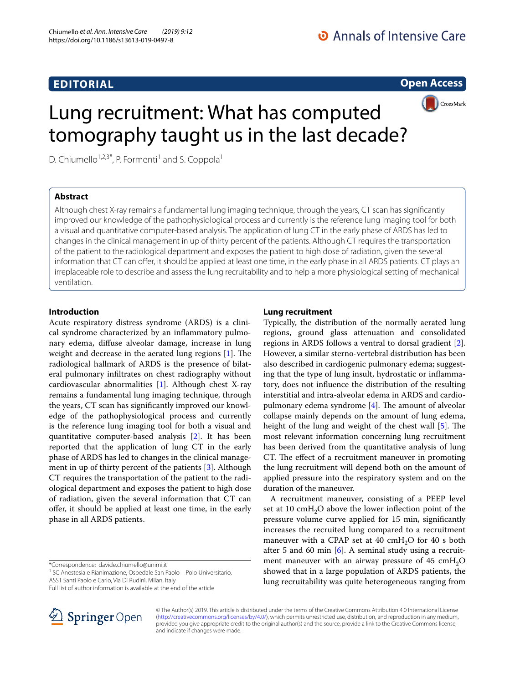# **EDITORIAL**

**Open Access**



# Lung recruitment: What has computed tomography taught us in the last decade?

D. Chiumello<sup>1,2,3\*</sup>, P. Formenti<sup>1</sup> and S. Coppola<sup>1</sup>

# **Abstract**

Although chest X-ray remains a fundamental lung imaging technique, through the years, CT scan has signifcantly improved our knowledge of the pathophysiological process and currently is the reference lung imaging tool for both a visual and quantitative computer-based analysis. The application of lung CT in the early phase of ARDS has led to changes in the clinical management in up of thirty percent of the patients. Although CT requires the transportation of the patient to the radiological department and exposes the patient to high dose of radiation, given the several information that CT can ofer, it should be applied at least one time, in the early phase in all ARDS patients. CT plays an irreplaceable role to describe and assess the lung recruitability and to help a more physiological setting of mechanical ventilation.

## **Introduction**

Acute respiratory distress syndrome (ARDS) is a clinical syndrome characterized by an infammatory pulmonary edema, difuse alveolar damage, increase in lung weight and decrease in the aerated lung regions  $[1]$  $[1]$ . The radiological hallmark of ARDS is the presence of bilateral pulmonary infltrates on chest radiography without cardiovascular abnormalities [\[1](#page-2-0)]. Although chest X-ray remains a fundamental lung imaging technique, through the years, CT scan has signifcantly improved our knowledge of the pathophysiological process and currently is the reference lung imaging tool for both a visual and quantitative computer-based analysis [[2\]](#page-2-1). It has been reported that the application of lung CT in the early phase of ARDS has led to changes in the clinical management in up of thirty percent of the patients [[3\]](#page-2-2). Although CT requires the transportation of the patient to the radiological department and exposes the patient to high dose of radiation, given the several information that CT can offer, it should be applied at least one time, in the early phase in all ARDS patients.

<sup>1</sup> SC Anestesia e Rianimazione, Ospedale San Paolo – Polo Universitario, ASST Santi Paolo e Carlo, Via Di Rudinì, Milan, Italy

Full list of author information is available at the end of the article



## **Lung recruitment**

Typically, the distribution of the normally aerated lung regions, ground glass attenuation and consolidated regions in ARDS follows a ventral to dorsal gradient [\[2](#page-2-1)]. However, a similar sterno-vertebral distribution has been also described in cardiogenic pulmonary edema; suggesting that the type of lung insult, hydrostatic or infammatory, does not infuence the distribution of the resulting interstitial and intra-alveolar edema in ARDS and cardiopulmonary edema syndrome  $[4]$  $[4]$ . The amount of alveolar collapse mainly depends on the amount of lung edema, height of the lung and weight of the chest wall  $[5]$  $[5]$ . The most relevant information concerning lung recruitment has been derived from the quantitative analysis of lung CT. The effect of a recruitment maneuver in promoting the lung recruitment will depend both on the amount of applied pressure into the respiratory system and on the duration of the maneuver.

A recruitment maneuver, consisting of a PEEP level set at 10  $\text{cm}H_2\text{O}$  above the lower inflection point of the pressure volume curve applied for 15 min, signifcantly increases the recruited lung compared to a recruitment maneuver with a CPAP set at 40  $cmH<sub>2</sub>O$  for 40 s both after 5 and 60 min  $[6]$  $[6]$ . A seminal study using a recruitment maneuver with an airway pressure of  $45 \text{ cm}H_2\text{O}$ showed that in a large population of ARDS patients, the lung recruitability was quite heterogeneous ranging from

© The Author(s) 2019. This article is distributed under the terms of the Creative Commons Attribution 4.0 International License [\(http://creativecommons.org/licenses/by/4.0/\)](http://creativecommons.org/licenses/by/4.0/), which permits unrestricted use, distribution, and reproduction in any medium, provided you give appropriate credit to the original author(s) and the source, provide a link to the Creative Commons license, and indicate if changes were made.

<sup>\*</sup>Correspondence: davide.chiumello@unimi.it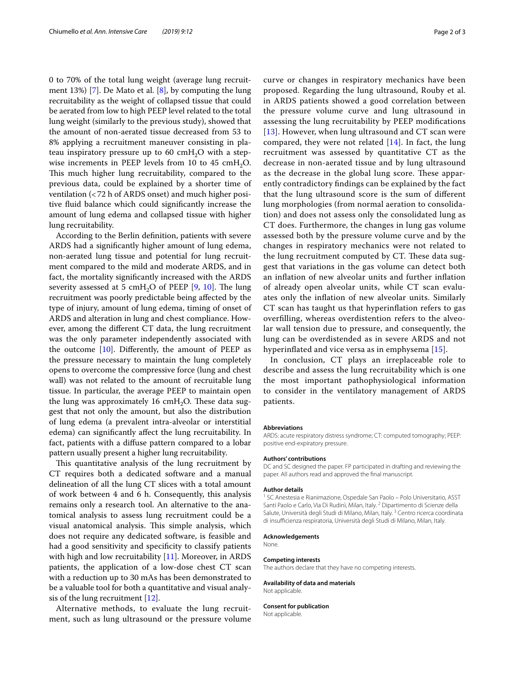0 to 70% of the total lung weight (average lung recruitment 13%) [[7](#page-2-6)]. De Mato et al. [\[8](#page-2-7)], by computing the lung recruitability as the weight of collapsed tissue that could be aerated from low to high PEEP level related to the total lung weight (similarly to the previous study), showed that the amount of non-aerated tissue decreased from 53 to 8% applying a recruitment maneuver consisting in plateau inspiratory pressure up to 60  $cmH<sub>2</sub>O$  with a stepwise increments in PEEP levels from 10 to 45  $\text{cm}H_2O$ . This much higher lung recruitability, compared to the previous data, could be explained by a shorter time of ventilation (<72 h of ARDS onset) and much higher positive fuid balance which could signifcantly increase the amount of lung edema and collapsed tissue with higher lung recruitability.

According to the Berlin defnition, patients with severe ARDS had a signifcantly higher amount of lung edema, non-aerated lung tissue and potential for lung recruitment compared to the mild and moderate ARDS, and in fact, the mortality signifcantly increased with the ARDS severity assessed at 5 cmH<sub>2</sub>O of PEEP [\[9](#page-2-8), [10\]](#page-2-9). The lung recruitment was poorly predictable being afected by the type of injury, amount of lung edema, timing of onset of ARDS and alteration in lung and chest compliance. However, among the diferent CT data, the lung recruitment was the only parameter independently associated with the outcome  $[10]$ . Differently, the amount of PEEP as the pressure necessary to maintain the lung completely opens to overcome the compressive force (lung and chest wall) was not related to the amount of recruitable lung tissue. In particular, the average PEEP to maintain open the lung was approximately 16  $cmH<sub>2</sub>O$ . These data suggest that not only the amount, but also the distribution of lung edema (a prevalent intra-alveolar or interstitial edema) can signifcantly afect the lung recruitability. In fact, patients with a difuse pattern compared to a lobar pattern usually present a higher lung recruitability.

This quantitative analysis of the lung recruitment by CT requires both a dedicated software and a manual delineation of all the lung CT slices with a total amount of work between 4 and 6 h. Consequently, this analysis remains only a research tool. An alternative to the anatomical analysis to assess lung recruitment could be a visual anatomical analysis. This simple analysis, which does not require any dedicated software, is feasible and had a good sensitivity and specifcity to classify patients with high and low recruitability  $[11]$ . Moreover, in ARDS patients, the application of a low-dose chest CT scan with a reduction up to 30 mAs has been demonstrated to be a valuable tool for both a quantitative and visual analysis of the lung recruitment [\[12\]](#page-2-11).

Alternative methods, to evaluate the lung recruitment, such as lung ultrasound or the pressure volume curve or changes in respiratory mechanics have been proposed. Regarding the lung ultrasound, Rouby et al. in ARDS patients showed a good correlation between the pressure volume curve and lung ultrasound in assessing the lung recruitability by PEEP modifcations [[13](#page-2-12)]. However, when lung ultrasound and CT scan were compared, they were not related  $[14]$ . In fact, the lung recruitment was assessed by quantitative CT as the decrease in non-aerated tissue and by lung ultrasound as the decrease in the global lung score. These apparently contradictory fndings can be explained by the fact that the lung ultrasound score is the sum of diferent lung morphologies (from normal aeration to consolidation) and does not assess only the consolidated lung as CT does. Furthermore, the changes in lung gas volume assessed both by the pressure volume curve and by the changes in respiratory mechanics were not related to the lung recruitment computed by CT. These data suggest that variations in the gas volume can detect both an infation of new alveolar units and further infation of already open alveolar units, while CT scan evaluates only the infation of new alveolar units. Similarly CT scan has taught us that hyperinfation refers to gas overflling, whereas overdistention refers to the alveolar wall tension due to pressure, and consequently, the lung can be overdistended as in severe ARDS and not hyperinfated and vice versa as in emphysema [\[15](#page-2-14)].

In conclusion, CT plays an irreplaceable role to describe and assess the lung recruitability which is one the most important pathophysiological information to consider in the ventilatory management of ARDS patients.

#### **Abbreviations**

ARDS: acute respiratory distress syndrome; CT: computed tomography; PEEP: positive end-expiratory pressure.

#### **Authors' contributions**

DC and SC designed the paper. FP participated in drafting and reviewing the paper. All authors read and approved the fnal manuscript.

#### **Author details**

<sup>1</sup> SC Anestesia e Rianimazione, Ospedale San Paolo – Polo Universitario, ASST Santi Paolo e Carlo, Via Di Rudinì, Milan, Italy. <sup>2</sup> Dipartimento di Scienze della Salute, Università degli Studi di Milano, Milan, Italy. 3 Centro ricerca coordinata di insufficienza respiratoria, Università degli Studi di Milano, Milan, Italy.

#### **Acknowledgements**

None.

#### **Competing interests**

The authors declare that they have no competing interests.

# **Availability of data and materials**

Not applicable.

#### **Consent for publication**

Not applicable.